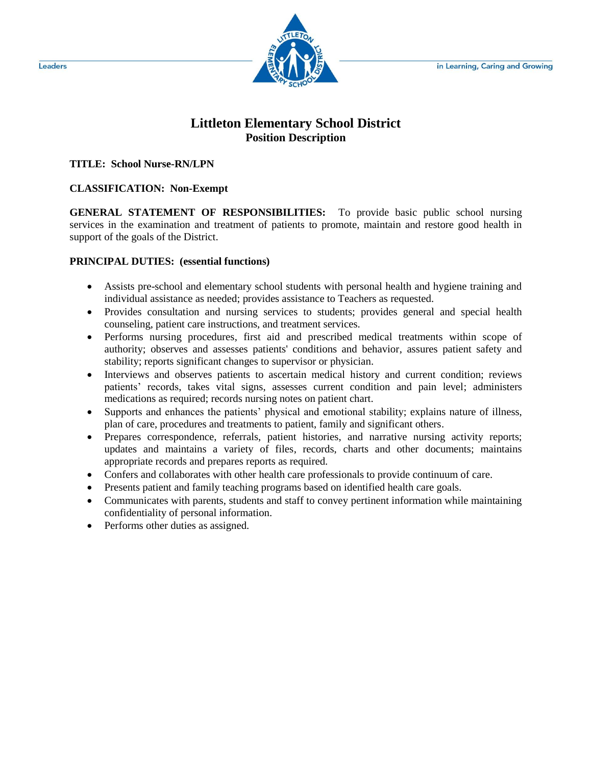

# **Littleton Elementary School District Position Description**

## **TITLE: School Nurse-RN/LPN**

## **CLASSIFICATION: Non-Exempt**

**GENERAL STATEMENT OF RESPONSIBILITIES:** To provide basic public school nursing services in the examination and treatment of patients to promote, maintain and restore good health in support of the goals of the District.

### **PRINCIPAL DUTIES: (essential functions)**

- Assists pre-school and elementary school students with personal health and hygiene training and individual assistance as needed; provides assistance to Teachers as requested.
- Provides consultation and nursing services to students; provides general and special health counseling, patient care instructions, and treatment services.
- Performs nursing procedures, first aid and prescribed medical treatments within scope of authority; observes and assesses patients' conditions and behavior, assures patient safety and stability; reports significant changes to supervisor or physician.
- Interviews and observes patients to ascertain medical history and current condition; reviews patients' records, takes vital signs, assesses current condition and pain level; administers medications as required; records nursing notes on patient chart.
- Supports and enhances the patients' physical and emotional stability; explains nature of illness, plan of care, procedures and treatments to patient, family and significant others.
- Prepares correspondence, referrals, patient histories, and narrative nursing activity reports; updates and maintains a variety of files, records, charts and other documents; maintains appropriate records and prepares reports as required.
- Confers and collaborates with other health care professionals to provide continuum of care.
- Presents patient and family teaching programs based on identified health care goals.
- Communicates with parents, students and staff to convey pertinent information while maintaining confidentiality of personal information.
- Performs other duties as assigned.